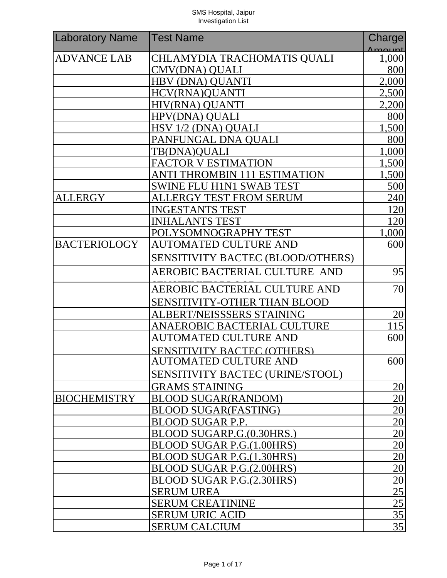| <b>Laboratory Name</b> | <b>Test Name</b>                    | Charge                             |
|------------------------|-------------------------------------|------------------------------------|
| <b>ADVANCE LAB</b>     | <b>CHLAMYDIA TRACHOMATIS QUALI</b>  | 1,000                              |
|                        | CMV(DNA) QUALI                      | 800                                |
|                        | <b>HBV (DNA) OUANTI</b>             | 2,000                              |
|                        | <b>HCV(RNA)QUANTI</b>               | 2,500                              |
|                        | HIV(RNA) QUANTI                     | 2,200                              |
|                        | <b>HPV(DNA) OUALI</b>               | 800                                |
|                        | HSV 1/2 (DNA) QUALI                 | 1,500                              |
|                        | PANFUNGAL DNA QUALI                 | 800                                |
|                        | TB(DNA)OUALI                        | 1,000                              |
|                        | <b>FACTOR V ESTIMATION</b>          | 1,500                              |
|                        | <b>ANTI THROMBIN 111 ESTIMATION</b> | 1,500                              |
|                        | <b>SWINE FLU H1N1 SWAB TEST</b>     | 500                                |
| <b>ALLERGY</b>         | <b>ALLERGY TEST FROM SERUM</b>      | 240                                |
|                        | <b>INGESTANTS TEST</b>              | 120                                |
|                        | <b>INHALANTS TEST</b>               | 120                                |
|                        | POLYSOMNOGRAPHY TEST                | 1,000                              |
| <b>BACTERIOLOGY</b>    | <b>AUTOMATED CULTURE AND</b>        | 600                                |
|                        | SENSITIVITY BACTEC (BLOOD/OTHERS)   |                                    |
|                        | AEROBIC BACTERIAL CULTURE AND       | 95                                 |
|                        | AEROBIC BACTERIAL CULTURE AND       | 70                                 |
|                        | <b>SENSITIVITY-OTHER THAN BLOOD</b> |                                    |
|                        | ALBERT/NEISSSERS STAINING           | 20                                 |
|                        | ANAEROBIC BACTERIAL CULTURE         | 115                                |
|                        | <b>AUTOMATED CULTURE AND</b>        | 600                                |
|                        | <b>SENSITIVITY BACTEC (OTHERS)</b>  |                                    |
|                        | <b>AUTOMATED CULTURE AND</b>        | 600                                |
|                        | SENSITIVITY BACTEC (URINE/STOOL)    |                                    |
|                        | <b>GRAMS STAINING</b>               | <u>20</u>                          |
| <b>BIOCHEMISTRY</b>    | <b>BLOOD SUGAR(RANDOM)</b>          | $\overline{20}$                    |
|                        | <b>BLOOD SUGAR(FASTING)</b>         | $\overline{20}$                    |
|                        | BLOOD SUGAR P.P.                    | $\frac{20}{20}$                    |
|                        | BLOOD SUGARP.G.(0.30HRS.)           |                                    |
|                        | <b>BLOOD SUGAR P.G.(1.00HRS)</b>    | 20                                 |
|                        | BLOOD SUGAR P.G.(1.30HRS)           | $\overline{20}$                    |
|                        | BLOOD SUGAR P.G.(2.00HRS)           | 20                                 |
|                        | BLOOD SUGAR P.G.(2.30HRS)           |                                    |
|                        | <b>SERUM UREA</b>                   | $\frac{20}{25}$<br>$\frac{25}{35}$ |
|                        | <b>SERUM CREATININE</b>             |                                    |
|                        | <b>SERUM URIC ACID</b>              |                                    |
|                        | <b>SERUM CALCIUM</b>                | $\overline{35}$                    |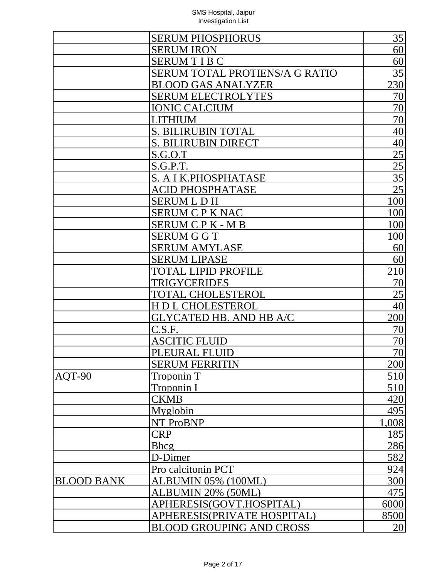|                   | <b>SERUM PHOSPHORUS</b>         | 35              |
|-------------------|---------------------------------|-----------------|
|                   | <b>SERUM IRON</b>               | 60              |
|                   | <b>SERUMTIBC</b>                | 60              |
|                   | SERUM TOTAL PROTIENS/A G RATIO  | 35              |
|                   | <b>BLOOD GAS ANALYZER</b>       | 230             |
|                   | <b>SERUM ELECTROLYTES</b>       | 70              |
|                   | <b>IONIC CALCIUM</b>            | 70              |
|                   | <b>LITHIUM</b>                  | 70              |
|                   | <b>S. BILIRUBIN TOTAL</b>       | 40              |
|                   | <b>S. BILIRUBIN DIRECT</b>      | 40              |
|                   | S.G.O.T                         | $\overline{25}$ |
|                   | S.G.P.T.                        | 25              |
|                   | S. A I K.PHOSPHATASE            | $\overline{35}$ |
|                   | ACID PHOSPHATASE                | $\overline{25}$ |
|                   | <b>SERUM L D H</b>              | 100             |
|                   | <b>SERUM C P K NAC</b>          | 100             |
|                   | SERUM C P K - M B               | 100             |
|                   | <b>SERUM G G T</b>              | 100             |
|                   | <b>SERUM AMYLASE</b>            | 60              |
|                   | <b>SERUM LIPASE</b>             | 60              |
|                   | <b>TOTAL LIPID PROFILE</b>      | 210             |
|                   | <b>TRIGYCERIDES</b>             | 70              |
|                   | <b>TOTAL CHOLESTEROL</b>        | 25              |
|                   | <b>HDL CHOLESTEROL</b>          | 40              |
|                   | <b>GLYCATED HB. AND HB A/C</b>  | 200             |
|                   | C.S.F.                          | 70              |
|                   | <b>ASCITIC FLUID</b>            | 70              |
|                   | PLEURAL FLUID                   | 70              |
|                   | <b>SERUM FERRITIN</b>           | 200             |
| AOT-90            | <b>Troponin T</b>               | 510             |
|                   | Troponin I                      | 510             |
|                   | <b>CKMB</b>                     | 420             |
|                   | Myglobin                        | 495             |
|                   | NT ProBNP                       | 1,008           |
|                   | <b>CRP</b>                      | 185             |
|                   | <b>Bhcg</b>                     | 286             |
|                   | D-Dimer                         | 582             |
|                   | Pro calcitonin PCT              | 924             |
| <b>BLOOD BANK</b> | ALBUMIN 05% (100ML)             | 300             |
|                   | ALBUMIN 20% (50ML)              | 475             |
|                   | APHERESIS(GOVT.HOSPITAL)        | 6000            |
|                   | APHERESIS(PRIVATE HOSPITAL)     | 8500            |
|                   | <b>BLOOD GROUPING AND CROSS</b> | 20              |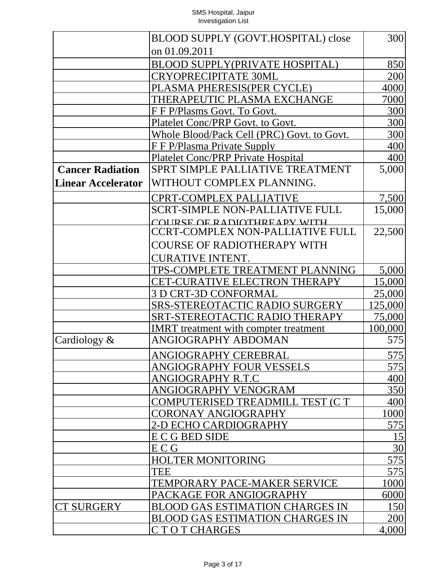|                           | BLOOD SUPPLY (GOVT.HOSPITAL) close           | 300           |
|---------------------------|----------------------------------------------|---------------|
|                           | on 01.09.2011                                |               |
|                           | <b>BLOOD SUPPLY(PRIVATE HOSPITAL)</b>        | 850           |
|                           | <b>CRYOPRECIPITATE 30ML</b>                  | 200           |
|                           | PLASMA PHERESIS(PER CYCLE)                   | 4000          |
|                           | THERAPEUTIC PLASMA EXCHANGE                  | 7000          |
|                           | F F P/Plasms Govt. To Govt.                  | 300           |
|                           | Platelet Conc/PRP Govt. to Govt.             | 300           |
|                           | Whole Blood/Pack Cell (PRC) Govt. to Govt.   | 300           |
|                           | <u>F F P/Plasma Private Supply</u>           | 400           |
|                           | <b>Platelet Conc/PRP Private Hospital</b>    | 400           |
| <b>Cancer Radiation</b>   | SPRT SIMPLE PALLIATIVE TREATMENT             | 5,000         |
| <b>Linear Accelerator</b> | WITHOUT COMPLEX PLANNING.                    |               |
|                           | <b>CPRT-COMPLEX PALLIATIVE</b>               | 7,500         |
|                           | <b>SCRT-SIMPLE NON-PALLIATIVE FULL</b>       | 15,000        |
|                           | COURSE OF RADIOTHREAPY WITH                  |               |
|                           | <b>CCRT-COMPLEX NON-PALLIATIVE FULL</b>      | 22,500        |
|                           | <b>COURSE OF RADIOTHERAPY WITH</b>           |               |
|                           | <b>CURATIVE INTENT.</b>                      |               |
|                           | TPS-COMPLETE TREATMENT PLANNING              | 5,000         |
|                           | CET-CURATIVE ELECTRON THERAPY                | <u>15,000</u> |
|                           | 3 D CRT-3D CONFORMAL                         | 25,000        |
|                           | <b>SRS-STEREOTACTIC RADIO SURGERY</b>        | 125,000       |
|                           | SRT-STEREOTACTIC RADIO THERAPY               | 75,000        |
|                           | <b>IMRT</b> treatment with compter treatment | 100,000       |
| Cardiology $\&$           | ANGIOGRAPHY ABDOMAN                          | 575           |
|                           | ANGIOGRAPHY CEREBRAL                         | 575           |
|                           | ANGIOGRAPHY FOUR VESSELS                     | 575           |
|                           | ANGIOGRAPHY R.T.C                            | 400           |
|                           | ANGIOGRAPHY VENOGRAM                         | 350           |
|                           | COMPUTERISED TREADMILL TEST (CT              | 400           |
|                           | CORONAY ANGIOGRAPHY                          | 1000          |
|                           | 2-D ECHO CARDIOGRAPHY                        | 575           |
|                           | E C G BED SIDE                               | 15            |
|                           | E C G                                        | 30            |
|                           | <b>HOLTER MONITORING</b>                     | 575           |
|                           | <b>TEE</b>                                   | 575           |
|                           | TEMPORARY PACE-MAKER SERVICE                 | 1000          |
|                           | PACKAGE FOR ANGIOGRAPHY                      | 6000          |
| <b>CT SURGERY</b>         | <b>BLOOD GAS ESTIMATION CHARGES IN</b>       | 150           |
|                           | <b>BLOOD GAS ESTIMATION CHARGES IN</b>       | 200           |
|                           | CTOTCHARGES                                  | 4,000         |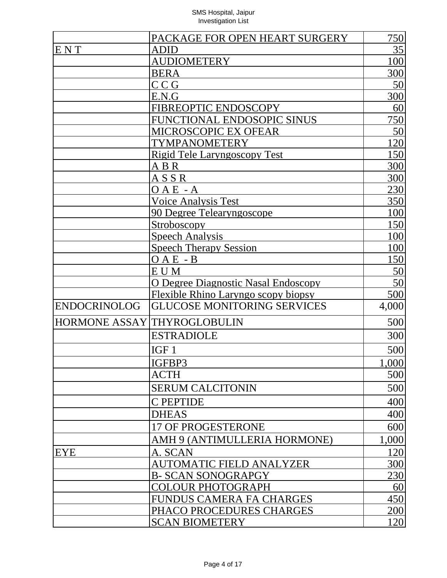|                     | PACKAGE FOR OPEN HEART SURGERY             | 750        |
|---------------------|--------------------------------------------|------------|
| ENT                 | ADID                                       | 35         |
|                     | <b>AUDIOMETERY</b>                         | 100        |
|                     | <b>BERA</b>                                | 300        |
|                     | C C G                                      | 50         |
|                     | E.N.G                                      | 300        |
|                     | FIBREOPTIC ENDOSCOPY                       | 60         |
|                     | FUNCTIONAL ENDOSOPIC SINUS                 | 750        |
|                     | MICROSCOPIC EX OFEAR                       | 50         |
|                     | TYMPANOMETERY                              | 120        |
|                     | Rigid Tele Laryngoscopy Test               | 150        |
|                     | A B R                                      | 300        |
|                     | ASSR                                       | 300        |
|                     | 0 A E  - A                                 | 230        |
|                     | <b>Voice Analysis Test</b>                 | 350        |
|                     | 90 Degree Telearyngoscope                  | <b>100</b> |
|                     | <b>Stroboscopy</b>                         | 150        |
|                     | <b>Speech Analysis</b>                     | 100        |
|                     | <b>Speech Therapy Session</b>              | <b>100</b> |
|                     | $OAE - B$                                  | 150        |
|                     | EUM                                        | 50         |
|                     | <u>O Degree Diagnostic Nasal Endoscopy</u> | 50         |
|                     | Flexible Rhino Laryngo scopy biopsy        | 500        |
| <b>ENDOCRINOLOG</b> | <b>GLUCOSE MONITORING SERVICES</b>         | 4,000      |
|                     | HORMONE ASSAY THYROGLOBULIN                | 500        |
|                     | <b>ESTRADIOLE</b>                          | 300        |
|                     | IGF <sub>1</sub>                           | 500        |
|                     | IGFBP3                                     | 1,000      |
|                     | <b>ACTH</b>                                | 500        |
|                     | <b>SERUM CALCITONIN</b>                    | 500        |
|                     | <b>C PEPTIDE</b>                           | 400        |
|                     | <b>DHEAS</b>                               | 400        |
|                     | 17 OF PROGESTERONE                         | 600        |
|                     | AMH 9 (ANTIMULLERIA HORMONE)               | 1,000      |
| <b>EYE</b>          | A. SCAN                                    | 120        |
|                     | <b>AUTOMATIC FIELD ANALYZER</b>            | 300        |
|                     | <b>B- SCAN SONOGRAPGY</b>                  | <u>230</u> |
|                     | <b>COLOUR PHOTOGRAPH</b>                   | 60         |
|                     | FUNDUS CAMERA FA CHARGES                   | 450        |
|                     | PHACO PROCEDURES CHARGES                   | <u>200</u> |
|                     | <b>SCAN BIOMETERY</b>                      | 120        |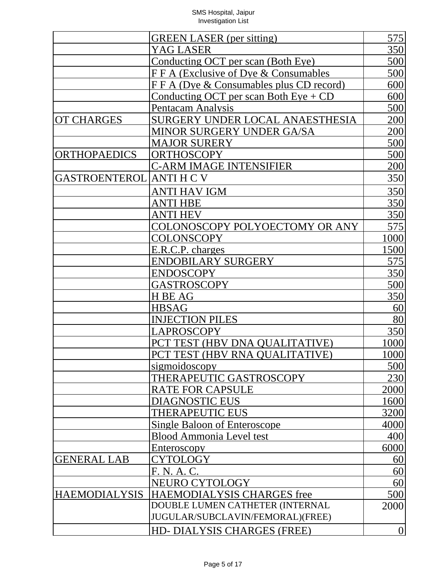|                                 | <b>GREEN LASER</b> (per sitting)        | 575        |
|---------------------------------|-----------------------------------------|------------|
|                                 | <b>YAG LASER</b>                        | 350        |
|                                 | Conducting OCT per scan (Both Eye)      | 500        |
|                                 | FFA (Exclusive of Dye & Consumables     | 500        |
|                                 | FFA (Dye & Consumables plus CD record)  | 600        |
|                                 | Conducting OCT per scan Both $Eye + CD$ | 600        |
|                                 | <b>Pentacam Analysis</b>                | 500        |
| <b>OT CHARGES</b>               | SURGERY UNDER LOCAL ANAESTHESIA         | 200        |
|                                 | <b>MINOR SURGERY UNDER GA/SA</b>        | 200        |
|                                 | <b>MAJOR SURERY</b>                     | 500        |
| <b>ORTHOPAEDICS</b>             | <b>ORTHOSCOPY</b>                       | 500        |
|                                 | <b>C-ARM IMAGE INTENSIFIER</b>          | 200        |
| <b>GASTROENTEROL ANTI H C V</b> |                                         | 350        |
|                                 | ANTI HAV IGM                            | 350        |
|                                 | <b>ANTI HBE</b>                         | 350        |
|                                 | <b>ANTI HEV</b>                         | <u>350</u> |
|                                 | COLONOSCOPY POLYOECTOMY OR ANY          | 575        |
|                                 | <b>COLONSCOPY</b>                       | 1000       |
|                                 | E.R.C.P. charges                        | 1500       |
|                                 | <b>ENDOBILARY SURGERY</b>               | 575        |
|                                 | <b>ENDOSCOPY</b>                        | 350        |
|                                 | <b>GASTROSCOPY</b>                      | 500        |
|                                 | H BE AG                                 | 350        |
|                                 | <b>HBSAG</b>                            | 60         |
|                                 | <b>INJECTION PILES</b>                  | 80         |
|                                 | <b>LAPROSCOPY</b>                       | 350        |
|                                 | PCT TEST (HBV DNA QUALITATIVE)          | 1000       |
|                                 | PCT TEST (HBV RNA OUALITATIVE)          | 1000       |
|                                 | sigmoidoscopy                           | 500        |
|                                 | THERAPEUTIC GASTROSCOPY                 | 230        |
|                                 | <b>RATE FOR CAPSULE</b>                 | 2000       |
|                                 | <b>DIAGNOSTIC EUS</b>                   | 1600       |
|                                 | THERAPEUTIC EUS                         | 3200       |
|                                 | Single Baloon of Enteroscope            | 4000       |
|                                 | <b>Blood Ammonia Level test</b>         | 400        |
|                                 | Enteroscopy                             | 6000       |
| <b>GENERAL LAB</b>              | <u>CYTOLOGY</u>                         | <u>60</u>  |
|                                 | F. N. A. C.                             | 60         |
|                                 | NEURO CYTOLOGY                          | 60         |
| <b>HAEMODIALYSIS</b>            | HAEMODIALYSIS CHARGES free              | 500        |
|                                 | DOUBLE LUMEN CATHETER (INTERNAL         | 2000       |
|                                 | JUGULAR/SUBCLAVIN/FEMORAL)(FREE)        |            |
|                                 | HD-DIALYSIS CHARGES (FREE)              | $\theta$   |
|                                 |                                         |            |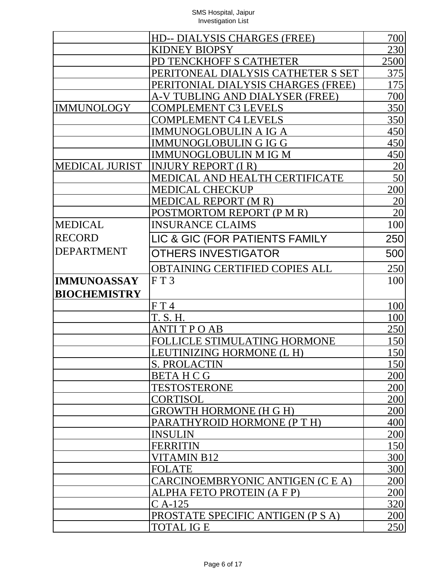|                       | HD-- DIALYSIS CHARGES (FREE)          | 700             |
|-----------------------|---------------------------------------|-----------------|
|                       | <b>KIDNEY BIOPSY</b>                  | 230             |
|                       | PD TENCKHOFF S CATHETER               | 2500            |
|                       | PERITONEAL DIALYSIS CATHETER S SET    | 375             |
|                       | PERITONIAL DIALYSIS CHARGES (FREE)    | 175             |
|                       | A-V TUBLING AND DIALYSER (FREE)       | 700             |
| <b>IMMUNOLOGY</b>     | <b>COMPLEMENT C3 LEVELS</b>           | 350             |
|                       | <b>COMPLEMENT C4 LEVELS</b>           | 350             |
|                       | <u>IMMUNOGLOBULIN A IG A</u>          | 450             |
|                       | IMMUNOGLOBULIN G IG G                 | 450             |
|                       | <b>IMMUNOGLOBULIN M IG M</b>          | 450             |
| <b>MEDICAL JURIST</b> | <b>INJURY REPORT (I R)</b>            | $\frac{20}{50}$ |
|                       | MEDICAL AND HEALTH CERTIFICATE        |                 |
|                       | <b>MEDICAL CHECKUP</b>                | 200             |
|                       | <b>MEDICAL REPORT (MR)</b>            | $\frac{20}{20}$ |
|                       | POSTMORTOM REPORT (P M R)             |                 |
| <b>MEDICAL</b>        | <b>INSURANCE CLAIMS</b>               | 100             |
| <b>RECORD</b>         | LIC & GIC (FOR PATIENTS FAMILY        | 250             |
| <b>DEPARTMENT</b>     | <b>OTHERS INVESTIGATOR</b>            | 500             |
|                       | <b>OBTAINING CERTIFIED COPIES ALL</b> | 250             |
| <b>IMMUNOASSAY</b>    | FT3                                   | 100             |
| <b>BIOCHEMISTRY</b>   |                                       |                 |
|                       | FT4                                   | 100             |
|                       | T. S. H.                              | 100             |
|                       | <b>ANTI T P O AB</b>                  | 250             |
|                       | FOLLICLE STIMULATING HORMONE          | 150             |
|                       | LEUTINIZING HORMONE (L H)             | 150             |
|                       | <b>S. PROLACTIN</b>                   | <u>150</u>      |
|                       | <b>BETAHCG</b>                        | 200             |
|                       | <b>TESTOSTERONE</b>                   | 200             |
|                       | CORTISOL                              | 200             |
|                       | <b>GROWTH HORMONE (H G H)</b>         | 200             |
|                       | PARATHYROID HORMONE (PTH)             | 400             |
|                       | <b>INSULIN</b>                        | 200             |
|                       | FERRITIN                              | 150             |
|                       | VITAMIN B12                           | 300             |
|                       | <b>FOLATE</b>                         | 300             |
|                       | CARCINOEMBRYONIC ANTIGEN (C E A)      | 200             |
|                       | ALPHA FETO PROTEIN (A F P)            | 200             |
|                       | $C$ A-125                             | 320             |
|                       | PROSTATE SPECIFIC ANTIGEN (P S A)     | 200             |
|                       | <b>TOTAL IG E</b>                     | 250             |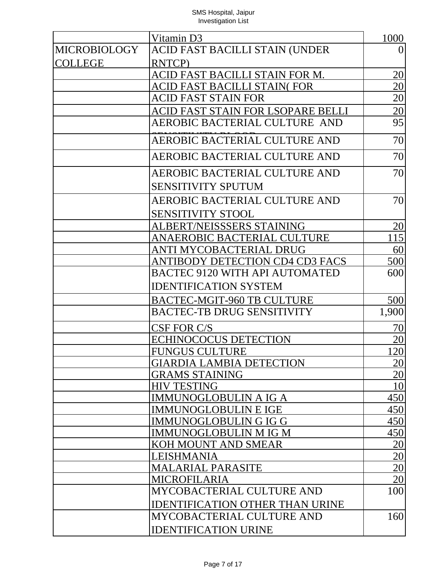|                     | Vitamin D3                             | 1000            |
|---------------------|----------------------------------------|-----------------|
| <b>MICROBIOLOGY</b> | ACID FAST BACILLI STAIN (UNDER         | $\overline{0}$  |
| <b>COLLEGE</b>      | RNTCP)                                 |                 |
|                     | ACID FAST BACILLI STAIN FOR M.         | <u>20</u>       |
|                     | ACID FAST BACILLI STAIN( FOR           | $\overline{20}$ |
|                     | <b>ACID FAST STAIN FOR</b>             | 20              |
|                     | ACID FAST STAIN FOR LSOPARE BELLI      | $\overline{20}$ |
|                     | AEROBIC BACTERIAL CULTURE AND          | 95              |
|                     | AEROBIC BACTERIAL CULTURE AND          | 70              |
|                     | AEROBIC BACTERIAL CULTURE AND          | 70              |
|                     | AEROBIC BACTERIAL CULTURE AND          | 70              |
|                     | <b>SENSITIVITY SPUTUM</b>              |                 |
|                     | AEROBIC BACTERIAL CULTURE AND          | 70              |
|                     | <b>SENSITIVITY STOOL</b>               |                 |
|                     | ALBERT/NEISSSERS STAINING              | 20              |
|                     | ANAEROBIC BACTERIAL CULTURE            | 115             |
|                     | ANTI MYCOBACTERIAL DRUG                | 60              |
|                     | ANTIBODY DETECTION CD4 CD3 FACS        | 500             |
|                     | <b>BACTEC 9120 WITH API AUTOMATED</b>  | 600             |
|                     | <b>IDENTIFICATION SYSTEM</b>           |                 |
|                     | <b>BACTEC-MGIT-960 TB CULTURE</b>      | 500             |
|                     | <b>BACTEC-TB DRUG SENSITIVITY</b>      | 1,900           |
|                     | CSF FOR C/S                            | 70              |
|                     | <b>ECHINOCOCUS DETECTION</b>           | 20              |
|                     | <b>FUNGUS CULTURE</b>                  | 120             |
|                     | <b>GIARDIA LAMBIA DETECTION</b>        | 20              |
|                     | <b>GRAMS STAINING</b>                  | $\overline{20}$ |
|                     | <b>HIV TESTING</b>                     | 10              |
|                     | <b>IMMUNOGLOBULIN A IG A</b>           | 450             |
|                     | <b>IMMUNOGLOBULIN E IGE</b>            | 450             |
|                     | <b>IMMUNOGLOBULIN G IG G</b>           | 450             |
|                     | IMMUNOGLOBULIN M IG M                  | 450             |
|                     | KOH MOUNT AND SMEAR                    | <u>20</u>       |
|                     | LEISHMANIA                             | 20              |
|                     | <b>MALARIAL PARASITE</b>               | $\overline{20}$ |
|                     | MICROFILARIA                           | 20              |
|                     | MYCOBACTERIAL CULTURE AND              | 100             |
|                     | <b>IDENTIFICATION OTHER THAN URINE</b> |                 |
|                     | MYCOBACTERIAL CULTURE AND              | 160             |
|                     | <b>IDENTIFICATION URINE</b>            |                 |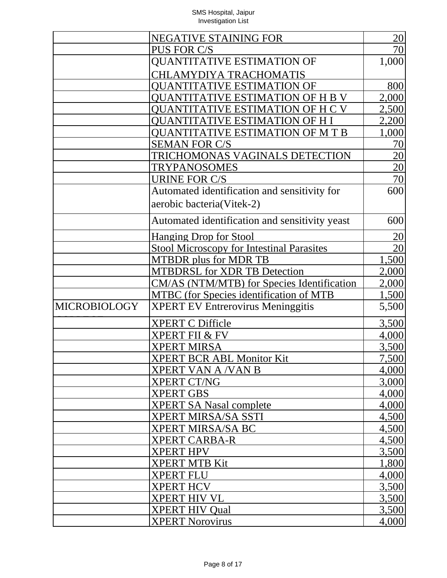|                     | <b>NEGATIVE STAINING FOR</b>                     | 20              |
|---------------------|--------------------------------------------------|-----------------|
|                     | PUS FOR C/S                                      | 70              |
|                     | <b>QUANTITATIVE ESTIMATION OF</b>                | 1,000           |
|                     | <b>CHLAMYDIYA TRACHOMATIS</b>                    |                 |
|                     | OUANTITATIVE ESTIMATION OF                       | 800             |
|                     | OUANTITATIVE ESTIMATION OF H B V                 | 2,000           |
|                     | <b>OUANTITATIVE ESTIMATION OF H C V</b>          | 2,500           |
|                     | QUANTITATIVE ESTIMATION OF H I                   | 2,200           |
|                     | <b>QUANTITATIVE ESTIMATION OF M T B</b>          | 1,000           |
|                     | <b>SEMAN FOR C/S</b>                             | 70              |
|                     | TRICHOMONAS VAGINALS DETECTION                   | $\overline{20}$ |
|                     | <b>TRYPANOSOMES</b>                              | $\overline{20}$ |
|                     | <b>URINE FOR C/S</b>                             | 70              |
|                     | Automated identification and sensitivity for     | 600             |
|                     | aerobic bacteria(Vitek-2)                        |                 |
|                     |                                                  |                 |
|                     | Automated identification and sensitivity yeast   | 600             |
|                     | <b>Hanging Drop for Stool</b>                    | <u> 20</u>      |
|                     | <b>Stool Microscopy for Intestinal Parasites</b> | 20              |
|                     | <b>MTBDR</b> plus for MDR TB                     | 1,500           |
|                     | <b>MTBDRSL for XDR TB Detection</b>              | 2,000           |
|                     | CM/AS (NTM/MTB) for Species Identification       | 2,000           |
|                     | <b>MTBC</b> (for Species identification of MTB   | 1,500           |
| <b>MICROBIOLOGY</b> | <b>XPERT EV Entrerovirus Meninggitis</b>         | 5,500           |
|                     | <b>XPERT C Difficle</b>                          | 3,500           |
|                     | <b>XPERT FII &amp; FV</b>                        | 4,000           |
|                     | <b>XPERT MIRSA</b>                               | 3,500           |
|                     | <b>XPERT BCR ABL Monitor Kit</b>                 | 7,500           |
|                     | XPERT VAN A /VAN B                               | 4,000           |
|                     | <b>XPERT CT/NG</b>                               | 3,000           |
|                     | <b>XPERT GBS</b>                                 | 4,000           |
|                     | <b>XPERT SA Nasal complete</b>                   | 4,000           |
|                     | <b>XPERT MIRSA/SA SSTI</b>                       | 4,500           |
|                     | <b>XPERT MIRSA/SA BC</b>                         | 4,500           |
|                     | <b>XPERT CARBA-R</b>                             | 4,500           |
|                     | <b>XPERT HPV</b>                                 | 3,500           |
|                     | <b>XPERT MTB Kit</b>                             | 1,800           |
|                     | <b>XPERT FLU</b>                                 | 4,000           |
|                     | <b>XPERT HCV</b>                                 | 3,500           |
|                     | <b>XPERT HIV VL</b>                              | 3,500           |
|                     | <b>XPERT HIV Qual</b>                            | 3,500           |
|                     | <b>XPERT Norovirus</b>                           | 4,000           |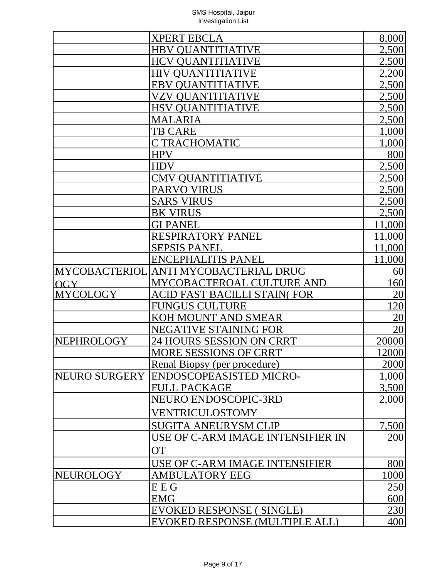|                  | <b>XPERT EBCLA</b>                    | 8,000           |
|------------------|---------------------------------------|-----------------|
|                  | <b>HBV QUANTITIATIVE</b>              | 2,500           |
|                  | <b>HCV QUANTITIATIVE</b>              | 2,500           |
|                  | <b>HIV QUANTITIATIVE</b>              | 2,200           |
|                  | <b>EBV QUANTITIATIVE</b>              | 2,500           |
|                  | VZV OUANTITIATIVE                     | 2,500           |
|                  | <b>HSV QUANTITIATIVE</b>              | 2,500           |
|                  | <b>MALARIA</b>                        | 2,500           |
|                  | <b>TB CARE</b>                        | 1,000           |
|                  | C TRACHOMATIC                         | 1,000           |
|                  | <b>HPV</b>                            | 800             |
|                  | <b>HDV</b>                            | 2,500           |
|                  | <b>CMV QUANTITIATIVE</b>              | 2,500           |
|                  | PARVO VIRUS                           | 2,500           |
|                  | <b>SARS VIRUS</b>                     | 2,500           |
|                  | <b>BK VIRUS</b>                       | 2,500           |
|                  | <b>GI PANEL</b>                       | 11,000          |
|                  | <b>RESPIRATORY PANEL</b>              | 11,000          |
|                  | <b>SEPSIS PANEL</b>                   | 11,000          |
|                  | <b>ENCEPHALITIS PANEL</b>             | 11,000          |
|                  | MYCOBACTERIOL ANTI MYCOBACTERIAL DRUG | 60              |
| OGY              | MYCOBACTEROAL CULTURE AND             | 160             |
| <b>MYCOLOGY</b>  | ACID FAST BACILLI STAIN(FOR           | $\overline{20}$ |
|                  | <b>FUNGUS CULTURE</b>                 | 20              |
|                  | KOH MOUNT AND SMEAR                   | $\overline{20}$ |
|                  | NEGATIVE STAINING FOR                 | 20              |
| NEPHROLOGY       | 24 HOURS SESSION ON CRRT              | 20000           |
|                  | MORE SESSIONS OF CRRT                 | 12000           |
|                  | Renal Biopsy (per procedure)          | 2000            |
| NEURO SURGERY    | <b>ENDOSCOPEASISTED MICRO-</b>        | 1,000           |
|                  | <b>FULL PACKAGE</b>                   | 3,500           |
|                  | NEURO ENDOSCOPIC-3RD                  | 2,000           |
|                  | VENTRICULOSTOMY                       |                 |
|                  | <b>SUGITA ANEURYSM CLIP</b>           | 7,500           |
|                  | USE OF C-ARM IMAGE INTENSIFIER IN     | 200             |
|                  |                                       |                 |
|                  | <b>OT</b>                             |                 |
|                  | USE OF C-ARM IMAGE INTENSIFIER        | 800             |
| <b>NEUROLOGY</b> | <b>AMBULATORY EEG</b>                 | 1000            |
|                  | E E G                                 | <u>250</u>      |
|                  | <b>EMG</b>                            | 600             |
|                  | EVOKED RESPONSE (SINGLE)              | 230             |
|                  | EVOKED RESPONSE (MULTIPLE ALL)        | 400             |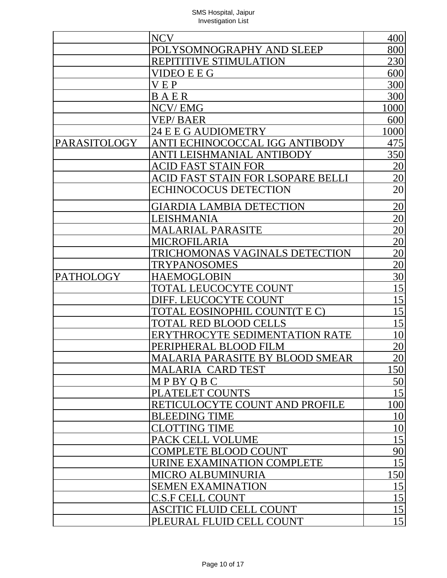|                  | <b>NCV</b>                             | 400             |
|------------------|----------------------------------------|-----------------|
|                  | POLYSOMNOGRAPHY AND SLEEP              | 800             |
|                  | REPITITIVE STIMULATION                 | 230             |
|                  | VIDEO E E G                            | 600             |
|                  | <b>VEP</b>                             | 300             |
|                  | BAER                                   | 300             |
|                  | NCV/EMG                                | 1000            |
|                  | <b>VEP/BAER</b>                        | 600             |
|                  | 24 E E G AUDIOMETRY                    | 1000            |
| PARASITOLOGY     | ANTI ECHINOCOCCAL IGG ANTIBODY         | 475             |
|                  | ANTI LEISHMANIAL ANTIBODY              | 350             |
|                  | <b>ACID FAST STAIN FOR</b>             | 20              |
|                  | ACID FAST STAIN FOR LSOPARE BELLI      | 20              |
|                  | <b>ECHINOCOCUS DETECTION</b>           | 20              |
|                  | <b>GIARDIA LAMBIA DETECTION</b>        | $\overline{20}$ |
|                  | LEISHMANIA                             | 20              |
|                  | <b>MALARIAL PARASITE</b>               | 20              |
|                  | <b>MICROFILARIA</b>                    | $\overline{20}$ |
|                  | <b>TRICHOMONAS VAGINALS DETECTION</b>  | 20              |
|                  | <b>TRYPANOSOMES</b>                    | 20              |
| <b>PATHOLOGY</b> | <b>HAEMOGLOBIN</b>                     | 30              |
|                  | TOTAL LEUCOCYTE COUNT                  | 15              |
|                  | DIFF. LEUCOCYTE COUNT                  | 15              |
|                  | TOTAL EOSINOPHIL COUNT(T E C)          | 15              |
|                  | TOTAL RED BLOOD CELLS                  | 15              |
|                  | ERYTHROCYTE SEDIMENTATION RATE         | 10              |
|                  | PERIPHERAL BLOOD FILM                  | 20              |
|                  | <b>MALARIA PARASITE BY BLOOD SMEAR</b> | 20              |
|                  | MALARIA CARD TEST                      | 150             |
|                  | MPBYQBC                                | 50              |
|                  | PLATELET COUNTS                        | 15              |
|                  | RETICULOCYTE COUNT AND PROFILE         | 100             |
|                  | <b>BLEEDING TIME</b>                   | 10              |
|                  | <b>CLOTTING TIME</b>                   | 10              |
|                  | PACK CELL VOLUME                       | 15              |
|                  | <b>COMPLETE BLOOD COUNT</b>            | 90              |
|                  | URINE EXAMINATION COMPLETE             | 15              |
|                  | <b>MICRO ALBUMINURIA</b>               | 150             |
|                  | <b>SEMEN EXAMINATION</b>               | <u> 15</u>      |
|                  | <b>C.S.F CELL COUNT</b>                | 15              |
|                  | ASCITIC FLUID CELL COUNT               | 15              |
|                  | PLEURAL FLUID CELL COUNT               | 15              |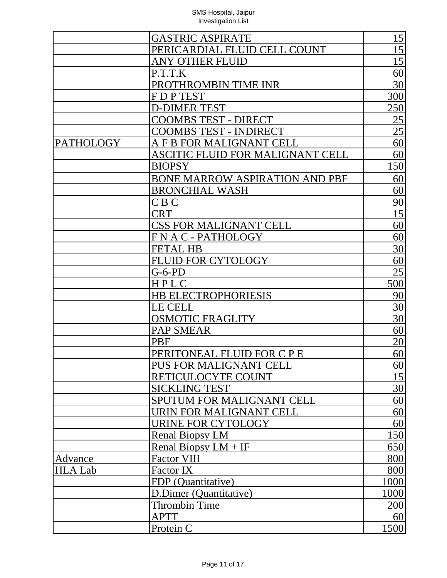|                  | <b>GASTRIC ASPIRATE</b>               | 15              |
|------------------|---------------------------------------|-----------------|
|                  | PERICARDIAL FLUID CELL COUNT          | 15              |
|                  | <b>ANY OTHER FLUID</b>                | 15              |
|                  | P.T.T.K                               | 60              |
|                  | PROTHROMBIN TIME INR                  | 30              |
|                  | FDPTEST                               | 300             |
|                  | <b>D-DIMER TEST</b>                   | 250             |
|                  | <b>COOMBS TEST - DIRECT</b>           | 25              |
|                  | <b>COOMBS TEST - INDIRECT</b>         | 25              |
| <b>PATHOLOGY</b> | A F B FOR MALIGNANT CELL              | 60              |
|                  | ASCITIC FLUID FOR MALIGNANT CELL      | 60              |
|                  | <b>BIOPSY</b>                         | 150             |
|                  | <b>BONE MARROW ASPIRATION AND PBF</b> | 60              |
|                  | <b>BRONCHIAL WASH</b>                 | 60              |
|                  | C B C                                 | 90              |
|                  | <b>CRT</b>                            | 15              |
|                  | <b>CSS FOR MALIGNANT CELL</b>         | 60              |
|                  | <b>FNAC-PATHOLOGY</b>                 | 60              |
|                  | <b>FETAL HB</b>                       | 30              |
|                  | <b>FLUID FOR CYTOLOGY</b>             | 60              |
|                  | $G-6-PD$                              | 25              |
|                  | HPLC                                  | 500             |
|                  | <b>HB ELECTROPHORIESIS</b>            | 90              |
|                  | <b>LE CELL</b>                        | 30              |
|                  | <b>OSMOTIC FRAGLITY</b>               | 30              |
|                  | <b>PAP SMEAR</b>                      | 60              |
|                  | <b>PBF</b>                            | $\overline{20}$ |
|                  | PERITONEAL FLUID FOR C P E            | 60              |
|                  | PUS FOR MALIGNANT CELL                | 60              |
|                  | RETICULOCYTE COUNT                    | 15              |
|                  | <b>SICKLING TEST</b>                  | 30              |
|                  | SPUTUM FOR MALIGNANT CELL             | 60              |
|                  | URIN FOR MALIGNANT CELL               | 60              |
|                  | <b>URINE FOR CYTOLOGY</b>             | 60              |
|                  | <b>Renal Biopsy LM</b>                | <b>150</b>      |
|                  | Renal Biopsy $LM + IF$                | 650             |
| Advance          | <b>Factor VIII</b>                    | 800             |
| <b>HLA Lab</b>   | Factor IX                             | 800             |
|                  | FDP (Quantitative)                    | 1000            |
|                  | D.Dimer (Quantitative)                | 1000            |
|                  | <b>Thrombin Time</b>                  | 200             |
|                  | <b>APTT</b>                           | 60              |
|                  | Protein C                             | 1500            |
|                  |                                       |                 |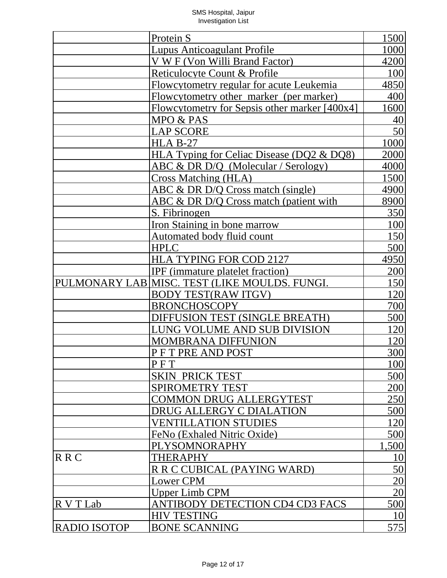|                     | Protein S                                     | 1500            |
|---------------------|-----------------------------------------------|-----------------|
|                     | <b>Lupus Anticoagulant Profile</b>            | 1000            |
|                     | V W F (Von Willi Brand Factor)                | 4200            |
|                     | Reticulocyte Count & Profile                  | 100             |
|                     | Flowcytometry regular for acute Leukemia      | 4850            |
|                     | Flowcytometry other marker (per marker)       | 400             |
|                     | Flowcytometry for Sepsis other marker [400x4] | 1600            |
|                     | MPO & PAS                                     | 40              |
|                     | <b>LAP SCORE</b>                              | 50              |
|                     | $HLA B-27$                                    | 1000            |
|                     | HLA Typing for Celiac Disease (DQ2 & DQ8)     | 2000            |
|                     | ABC & DR D/Q (Molecular / Serology)           | 4000            |
|                     | Cross Matching (HLA)                          | 1500            |
|                     | ABC & DR D/Q Cross match (single)             | 4900            |
|                     | ABC & DR D/Q Cross match (patient with        | 8900            |
|                     | S. Fibrinogen                                 | 350             |
|                     | <b>Iron Staining in bone marrow</b>           | 100             |
|                     | Automated body fluid count                    | 150             |
|                     | <b>HPLC</b>                                   | 500             |
|                     | HLA TYPING FOR COD 2127                       | 4950            |
|                     | IPF (immature platelet fraction)              | 200             |
|                     | PULMONARY LAB MISC. TEST (LIKE MOULDS. FUNGI. | 150             |
|                     | <b>BODY TEST(RAW ITGV)</b>                    | 120             |
|                     | <b>BRONCHOSCOPY</b>                           | 700             |
|                     | DIFFUSION TEST (SINGLE BREATH)                | 500             |
|                     | LUNG VOLUME AND SUB DIVISION                  | 120             |
|                     | <b>MOMBRANA DIFFUNION</b>                     | 120             |
|                     | PFTPRE AND POST                               | 300             |
|                     | PFT                                           | 100             |
|                     | <b>SKIN PRICK TEST</b>                        | 500             |
|                     | <b>SPIROMETRY TEST</b>                        | <b>200</b>      |
|                     | <b>COMMON DRUG ALLERGYTEST</b>                | 250             |
|                     | DRUG ALLERGY C DIALATION                      |                 |
|                     |                                               | 500             |
|                     | <b>VENTILLATION STUDIES</b>                   | 120             |
|                     | FeNo (Exhaled Nitric Oxide)                   | 500             |
|                     | PLYSOMNORAPHY                                 | 1,500           |
| <b>RRC</b>          | THERAPHY                                      | <u>10</u>       |
|                     | R R C CUBICAL (PAYING WARD)                   | 50              |
|                     | <b>Lower CPM</b>                              | $\frac{20}{20}$ |
|                     | <b>Upper Limb CPM</b>                         |                 |
| R V T Lab           | <b>ANTIBODY DETECTION CD4 CD3 FACS</b>        | 500             |
|                     | <b>HIV TESTING</b>                            | 10              |
| <b>RADIO ISOTOP</b> | <b>BONE SCANNING</b>                          | 575             |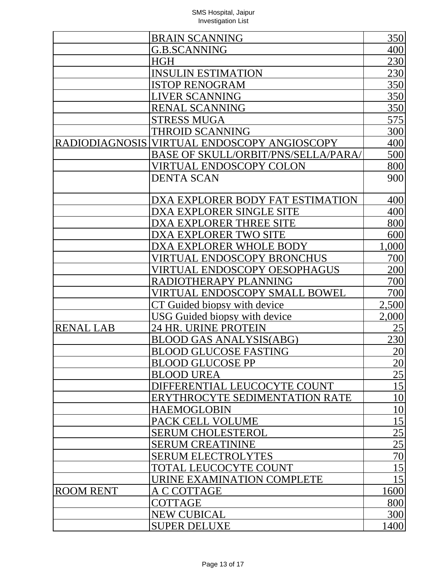|                  | <b>BRAIN SCANNING</b>                       | 350             |
|------------------|---------------------------------------------|-----------------|
|                  | <b>G.B.SCANNING</b>                         | 400             |
|                  | HGH                                         | 230             |
|                  | <b>INSULIN ESTIMATION</b>                   | 230             |
|                  | <b>ISTOP RENOGRAM</b>                       | 350             |
|                  | <b>LIVER SCANNING</b>                       | 350             |
|                  | <b>RENAL SCANNING</b>                       | 350             |
|                  | <b>STRESS MUGA</b>                          | 575             |
|                  | <b>THROID SCANNING</b>                      | 300             |
|                  | RADIODIAGNOSIS VIRTUAL ENDOSCOPY ANGIOSCOPY | 400             |
|                  | <b>BASE OF SKULL/ORBIT/PNS/SELLA/PARA/</b>  | 500             |
|                  | <u>VIRTUAL ENDOSCOPY COLON</u>              | 800             |
|                  | <b>DENTA SCAN</b>                           | 900             |
|                  |                                             |                 |
|                  | DXA EXPLORER BODY FAT ESTIMATION            | 400             |
|                  | DXA EXPLORER SINGLE SITE                    | 400             |
|                  | DXA EXPLORER THREE SITE                     | 800             |
|                  | DXA EXPLORER TWO SITE                       | 600             |
|                  | DXA EXPLORER WHOLE BODY                     | 1,000           |
|                  | VIRTUAL ENDOSCOPY BRONCHUS                  | 700             |
|                  | VIRTUAL ENDOSCOPY OESOPHAGUS                | 200             |
|                  | RADIOTHERAPY PLANNING                       | 700             |
|                  | VIRTUAL ENDOSCOPY SMALL BOWEL               | 700             |
|                  | <u>CT Guided biopsy with device</u>         | 2,500           |
|                  | <u><b>USG Guided biopsy with device</b></u> | 2,000           |
| <b>RENAL LAB</b> | 24 HR. URINE PROTEIN                        | 25              |
|                  | <b>BLOOD GAS ANALYSIS(ABG)</b>              | 230             |
|                  | BLOOD GLUCOSE FASTING                       | $\overline{20}$ |
|                  | <b>BLOOD GLUCOSE PP</b>                     | $\overline{20}$ |
|                  | <b>BLOOD UREA</b>                           | $\overline{25}$ |
|                  | DIFFERENTIAL LEUCOCYTE COUNT                | 15              |
|                  | ERYTHROCYTE SEDIMENTATION RATE              | 10              |
|                  | <b>HAEMOGLOBIN</b>                          | 10              |
|                  | PACK CELL VOLUME                            | 15              |
|                  | <b>SERUM CHOLESTEROL</b>                    | $\overline{25}$ |
|                  | <b>SERUM CREATININE</b>                     |                 |
|                  | <b>SERUM ELECTROLYTES</b>                   | $\frac{25}{70}$ |
|                  | TOTAL LEUCOCYTE COUNT                       | 15              |
|                  | URINE EXAMINATION COMPLETE                  | 15              |
| <b>ROOM RENT</b> | A C COTTAGE                                 | 1600            |
|                  | <b>COTTAGE</b>                              | 800             |
|                  | <b>NEW CUBICAL</b>                          | 300             |
|                  | <b>SUPER DELUXE</b>                         | 1400            |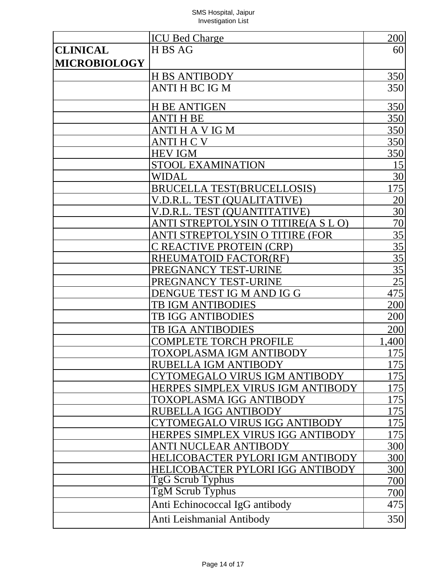|                     | <b>ICU Bed Charge</b>               | 200             |
|---------------------|-------------------------------------|-----------------|
| <b>CLINICAL</b>     | H BS AG                             | 60              |
| <b>MICROBIOLOGY</b> |                                     |                 |
|                     | <b>H BS ANTIBODY</b>                | 350             |
|                     | ANTI H BC IG M                      | 350             |
|                     | <b>H BE ANTIGEN</b>                 | 350             |
|                     | ANTI H BE                           | 350             |
|                     | ANTI H A V IG M                     | 350             |
|                     | ANTI H C V                          | 350             |
|                     | <b>HEV IGM</b>                      | 350             |
|                     | <b>STOOL EXAMINATION</b>            | 15              |
|                     | WIDAL                               | $\overline{30}$ |
|                     | <b>BRUCELLA TEST(BRUCELLOSIS)</b>   | 75              |
|                     | V.D.R.L. TEST (QUALITATIVE)         | $\overline{20}$ |
|                     | V.D.R.L. TEST (QUANTITATIVE)        | $\overline{30}$ |
|                     | ANTI STREPTOLYSIN O TITIRE(A S L O) | $\overline{70}$ |
|                     | ANTI STREPTOLYSIN O TITIRE (FOR     | 35              |
|                     | C REACTIVE PROTEIN (CRP)            | 35              |
|                     | RHEUMATOID FACTOR(RF)               | $\overline{35}$ |
|                     | PREGNANCY TEST-URINE                | 35              |
|                     | PREGNANCY TEST-URINE                | 25              |
|                     | DENGUE TEST IG M AND IG G           | 475             |
|                     | <b>TB IGM ANTIBODIES</b>            | 200             |
|                     | <b>TB IGG ANTIBODIES</b>            | 200             |
|                     | <b>TB IGA ANTIBODIES</b>            | 200             |
|                     | <b>COMPLETE TORCH PROFILE</b>       | 1,400           |
|                     | TOXOPLASMA IGM ANTIBODY             | 175             |
|                     | RUBELLA IGM ANTIBODY                | 175             |
|                     | CYTOMEGALO VIRUS IGM ANTIBODY       | 75              |
|                     | HERPES SIMPLEX VIRUS IGM ANTIBODY   | 175             |
|                     | <b>TOXOPLASMA IGG ANTIBODY</b>      | 175             |
|                     | RUBELLA IGG ANTIBODY                | 175             |
|                     | CYTOMEGALO VIRUS IGG ANTIBODY       | 175             |
|                     | HERPES SIMPLEX VIRUS IGG ANTIBODY   | 175             |
|                     | ANTI NUCLEAR ANTIBODY               | 300             |
|                     | HELICOBACTER PYLORI IGM ANTIBODY    | 300             |
|                     | HELICOBACTER PYLORI IGG ANTIBODY    | 300             |
|                     | TgG Scrub Typhus                    | 700             |
|                     | TgM Scrub Typhus                    | 700             |
|                     | Anti Echinococcal IgG antibody      | 475             |
|                     | Anti Leishmanial Antibody           | 350             |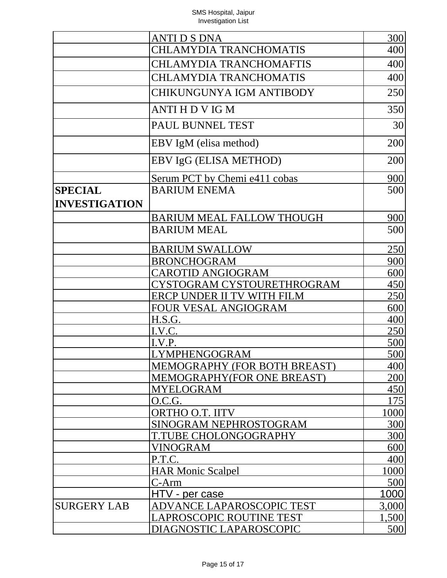|                      | ANTI D S DNA                        | 300   |
|----------------------|-------------------------------------|-------|
|                      | <b>CHLAMYDIA TRANCHOMATIS</b>       | 400   |
|                      | <b>CHLAMYDIA TRANCHOMAFTIS</b>      | 400   |
|                      | <b>CHLAMYDIA TRANCHOMATIS</b>       | 400   |
|                      | CHIKUNGUNYA IGM ANTIBODY            | 250   |
|                      | <b>ANTI HDVIGM</b>                  | 350   |
|                      | PAUL BUNNEL TEST                    | 30    |
|                      | EBV IgM (elisa method)              | 200   |
|                      | EBV IgG (ELISA METHOD)              | 200   |
|                      | Serum PCT by Chemi e411 cobas       | 900   |
| <b>SPECIAL</b>       | <b>BARIUM ENEMA</b>                 | 500   |
| <b>INVESTIGATION</b> |                                     |       |
|                      | <b>BARIUM MEAL FALLOW THOUGH</b>    | 900   |
|                      | <b>BARIUM MEAL</b>                  | 500   |
|                      | <b>BARIUM SWALLOW</b>               | 250   |
|                      | <b>BRONCHOGRAM</b>                  | 900   |
|                      | <b>CAROTID ANGIOGRAM</b>            | 600   |
|                      | CYSTOGRAM CYSTOURETHROGRAM          | 450   |
|                      | ERCP UNDER II TV WITH FILM          | 250   |
|                      | FOUR VESAL ANGIOGRAM                | 600   |
|                      | <u>H.S.G.</u>                       | 400   |
|                      | I.V.C.                              | 250   |
|                      | I.V.P.                              | 500   |
|                      | <b>LYMPHENGOGRAM</b>                | 500   |
|                      | <b>MEMOGRAPHY (FOR BOTH BREAST)</b> | 400   |
|                      | MEMOGRAPHY(FOR ONE BREAST)          | 200   |
|                      | <b>MYELOGRAM</b>                    | 450   |
|                      | O.C.G.                              | 175   |
|                      | <b>ORTHO O.T. IITV</b>              | 1000  |
|                      | SINOGRAM NEPHROSTOGRAM              | 300   |
|                      | T.TUBE CHOLONGOGRAPHY               | 300   |
|                      | VINOGRAM                            | 600   |
|                      | P.T.C.                              | 400   |
|                      | <b>HAR Monic Scalpel</b>            | 1000  |
|                      | $C-Arm$                             | 500   |
|                      | HTV - per case                      | 1000  |
| <b>SURGERY LAB</b>   | ADVANCE LAPAROSCOPIC TEST           | 3,000 |
|                      | LAPROSCOPIC ROUTINE TEST            | 1,500 |
|                      | DIAGNOSTIC LAPAROSCOPIC             | 500   |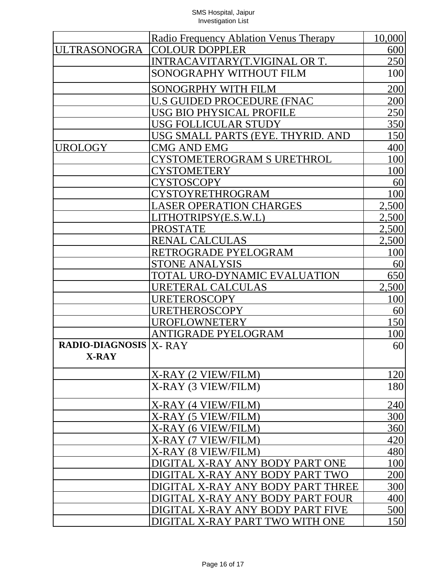|                                | Radio Frequency Ablation Venus Therapy | 10,000     |
|--------------------------------|----------------------------------------|------------|
| <b>ULTRASONOGRA</b>            | <b>COLOUR DOPPLER</b>                  | 600        |
|                                | INTRACAVITARY(T.VIGINAL OR T.          | 250        |
|                                | SONOGRAPHY WITHOUT FILM                | 100        |
|                                | SONOGRPHY WITH FILM                    | 200        |
|                                | U.S GUIDED PROCEDURE (FNAC             | 200        |
|                                | USG BIO PHYSICAL PROFILE               | 250        |
|                                | <b>USG FOLLICULAR STUDY</b>            | 350        |
|                                | USG SMALL PARTS (EYE. THYRID. AND      | 150        |
| <b>UROLOGY</b>                 | CMG AND EMG                            | 400        |
|                                | <b>CYSTOMETEROGRAM S URETHROL</b>      | 100        |
|                                | <b>CYSTOMETERY</b>                     | 100        |
|                                | CYSTOSCOPY                             | 60         |
|                                | CYSTOYRETHROGRAM                       | 100        |
|                                | <b>LASER OPERATION CHARGES</b>         | 2,500      |
|                                | LITHOTRIPSY(E.S.W.L)                   | 2,500      |
|                                | <b>PROSTATE</b>                        | 2,500      |
|                                | RENAL CALCULAS                         | 2,500      |
|                                | RETROGRADE PYELOGRAM                   | 100        |
|                                | <b>STONE ANALYSIS</b>                  | <u>60</u>  |
|                                | TOTAL URO-DYNAMIC EVALUATION           | 650        |
|                                | URETERAL CALCULAS                      | 2,500      |
|                                | <b>URETEROSCOPY</b>                    | <u>100</u> |
|                                | URETHEROSCOPY                          | 60         |
|                                | <b>UROFLOWNETERY</b>                   | 150        |
|                                | <b>ANTIGRADE PYELOGRAM</b>             | <u>100</u> |
| <b>RADIO-DIAGNOSIS  X- RAY</b> |                                        | 60         |
| <b>X-RAY</b>                   |                                        |            |
|                                | X-RAY (2 VIEW/FILM)                    | 120        |
|                                | X-RAY (3 VIEW/FILM)                    | 180        |
|                                | X-RAY (4 VIEW/FILM)                    | 240        |
|                                | X-RAY (5 VIEW/FILM)                    | 300        |
|                                | X-RAY (6 VIEW/FILM)                    | 360        |
|                                | X-RAY (7 VIEW/FILM)                    | 420        |
|                                | X-RAY (8 VIEW/FILM)                    | 480        |
|                                | DIGITAL X-RAY ANY BODY PART ONE        | 100        |
|                                | DIGITAL X-RAY ANY BODY PART TWO        | 200        |
|                                | DIGITAL X-RAY ANY BODY PART THREE      | 300        |
|                                | DIGITAL X-RAY ANY BODY PART FOUR       | 400        |
|                                | DIGITAL X-RAY ANY BODY PART FIVE       | 500        |
|                                | DIGITAL X-RAY PART TWO WITH ONE        | 150        |